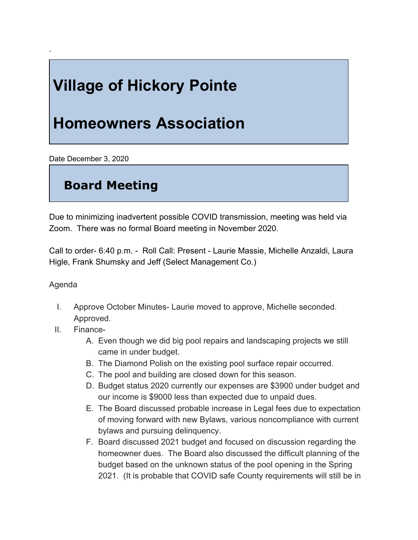# **Village of Hickory Pointe**

## **Homeowners Association**

Date December 3, 2020

### **Board Meeting**

Due to minimizing inadvertent possible COVID transmission, meeting was held via Zoom. There was no formal Board meeting in November 2020.

Call to order- 6:40 p.m. - Roll Call: Present - Laurie Massie, Michelle Anzaldi, Laura Higle, Frank Shumsky and Jeff (Select Management Co.)

### Agenda

`

- I. Approve October Minutes- Laurie moved to approve, Michelle seconded. Approved.
- II. Finance-
	- A. Even though we did big pool repairs and landscaping projects we still came in under budget.
	- B. The Diamond Polish on the existing pool surface repair occurred.
	- C. The pool and building are closed down for this season.
	- D. Budget status 2020 currently our expenses are \$3900 under budget and our income is \$9000 less than expected due to unpaid dues.
	- E. The Board discussed probable increase in Legal fees due to expectation of moving forward with new Bylaws, various noncompliance with current bylaws and pursuing delinquency.
	- F. Board discussed 2021 budget and focused on discussion regarding the homeowner dues. The Board also discussed the difficult planning of the budget based on the unknown status of the pool opening in the Spring 2021. (It is probable that COVID safe County requirements will still be in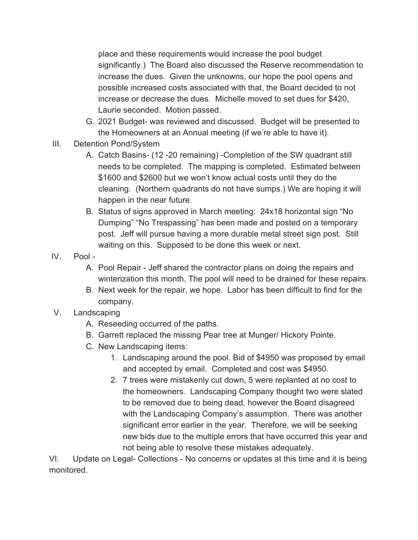place and these requirements would increase the pool budget significantly.) The Board also discussed the Reserve recommendation to increase the dues. Given the unknowns, our hope the pool opens and possible increased costs associated with that, the Board decided to not increase or decrease the dues. Michelle moved to set dues for \$420, Laurie seconded. Motion passed.

- G. 2021 Budget- was reviewed and discussed. Budget will be presented to the Homeowners at an Annual meeting (if we're able to have it).
- III. Detention Pond/System
	- A. Catch Basins- (12 -20 remaining) -Completion of the SW quadrant still needs to be completed. The mapping is completed. Estimated between \$1600 and \$2600 but we won't know actual costs until they do the cleaning. (Northern quadrants do not have sumps.) We are hoping it will happen in the near future.
	- B. Status of signs approved in March meeting: 24x18 horizontal sign "No Dumping" "No Trespassing" has been made and posted on a temporary post. Jeff will pursue having a more durable metal street sign post. Still waiting on this. Supposed to be done this week or next.
- IV. Pool
	- A. Pool Repair Jeff shared the contractor plans on doing the repairs and winterization this month. The pool will need to be drained for these repairs.
	- B. Next week for the repair, we hope. Labor has been difficult to find for the company.
- V. Landscaping
	- A. Reseeding occurred of the paths.
	- B. Garrett replaced the missing Pear tree at Munger/ Hickory Pointe.
	- C. New Landscaping items:
		- 1. Landscaping around the pool. Bid of \$4950 was proposed by email and accepted by email. Completed and cost was \$4950.
		- 2. 7 trees were mistakenly cut down, 5 were replanted at no cost to the homeowners. Landscaping Company thought two were slated to be removed due to being dead, however the Board disagreed with the Landscaping Company's assumption. There was another significant error earlier in the year. Therefore, we will be seeking new bids due to the multiple errors that have occurred this year and not being able to resolve these mistakes adequately.

VI. Update on Legal- Collections - No concerns or updates at this time and it is being monitored.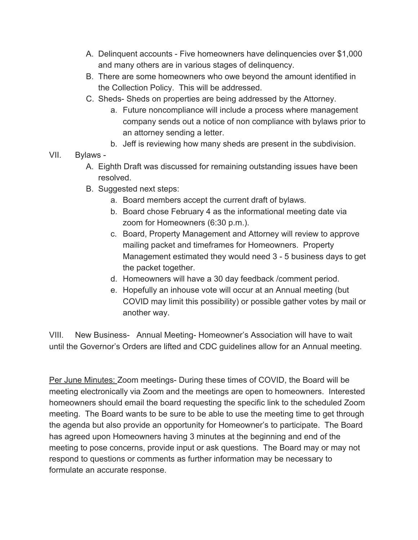- A. Delinquent accounts Five homeowners have delinquencies over \$1,000 and many others are in various stages of delinquency.
- B. There are some homeowners who owe beyond the amount identified in the Collection Policy. This will be addressed.
- C. Sheds- Sheds on properties are being addressed by the Attorney.
	- a. Future noncompliance will include a process where management company sends out a notice of non compliance with bylaws prior to an attorney sending a letter.
	- b. Jeff is reviewing how many sheds are present in the subdivision.
- VII. Bylaws
	- A. Eighth Draft was discussed for remaining outstanding issues have been resolved.
	- B. Suggested next steps:
		- a. Board members accept the current draft of bylaws.
		- b. Board chose February 4 as the informational meeting date via zoom for Homeowners (6:30 p.m.).
		- c. Board, Property Management and Attorney will review to approve mailing packet and timeframes for Homeowners. Property Management estimated they would need 3 - 5 business days to get the packet together.
		- d. Homeowners will have a 30 day feedback /comment period.
		- e. Hopefully an inhouse vote will occur at an Annual meeting (but COVID may limit this possibility) or possible gather votes by mail or another way.

VIII. New Business- Annual Meeting- Homeowner's Association will have to wait until the Governor's Orders are lifted and CDC guidelines allow for an Annual meeting.

Per June Minutes: Zoom meetings- During these times of COVID, the Board will be meeting electronically via Zoom and the meetings are open to homeowners. Interested homeowners should email the board requesting the specific link to the scheduled Zoom meeting. The Board wants to be sure to be able to use the meeting time to get through the agenda but also provide an opportunity for Homeowner's to participate. The Board has agreed upon Homeowners having 3 minutes at the beginning and end of the meeting to pose concerns, provide input or ask questions. The Board may or may not respond to questions or comments as further information may be necessary to formulate an accurate response.